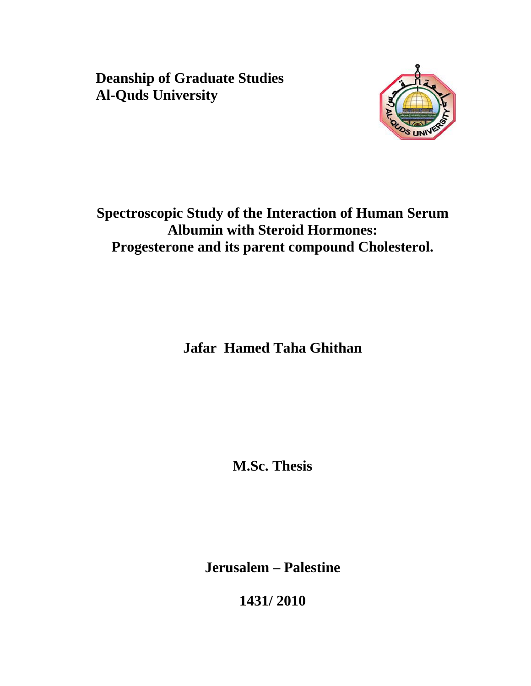**Deanship of Graduate Studies Al-Quds University** 



**Spectroscopic Study of the Interaction of Human Serum Albumin with Steroid Hormones: Progesterone and its parent compound Cholesterol.** 

**Jafar Hamed Taha Ghithan** 

**M.Sc. Thesis** 

**Jerusalem – Palestine** 

**1431/ 2010**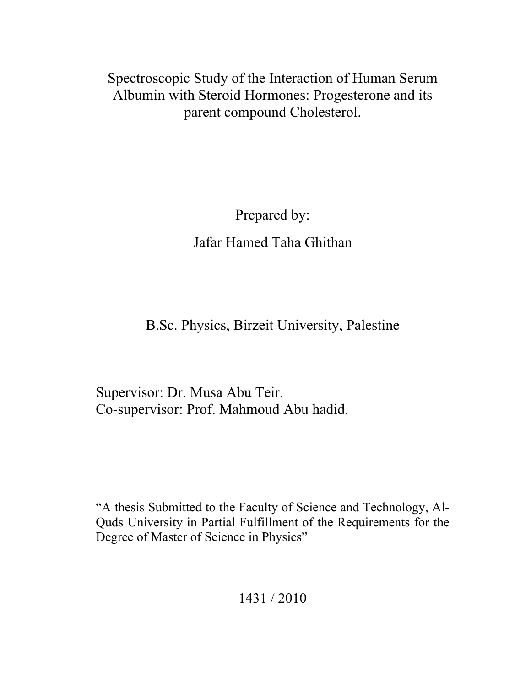Spectroscopic Study of the Interaction of Human Serum Albumin with Steroid Hormones: Progesterone and its parent compound Cholesterol.

> Prepared by: Jafar Hamed Taha Ghithan

B.Sc. Physics, Birzeit University, Palestine

Supervisor: Dr. Musa Abu Teir. Co-supervisor: Prof. Mahmoud Abu hadid.

"A thesis Submitted to the Faculty of Science and Technology, Al-Quds University in Partial Fulfillment of the Requirements for the Degree of Master of Science in Physics"

1431 / 2010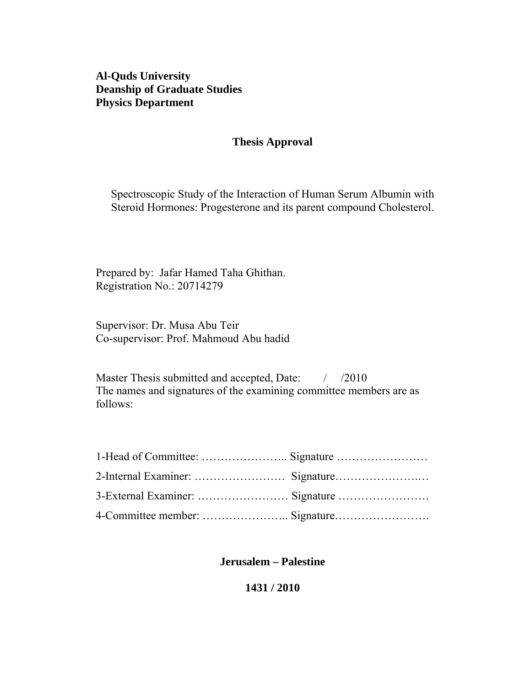**Al-Quds University Deanship of Graduate Studies Physics Department** 

#### **Thesis Approval**

Spectroscopic Study of the Interaction of Human Serum Albumin with Steroid Hormones: Progesterone and its parent compound Cholesterol.

Prepared by: Jafar Hamed Taha Ghithan. Registration No.: 20714279

Supervisor: Dr. Musa Abu Teir Co-supervisor: Prof. Mahmoud Abu hadid

Master Thesis submitted and accepted, Date:  $\frac{1}{2010}$ The names and signatures of the examining committee members are as follows:

#### **Jerusalem – Palestine**

#### **1431 / 2010**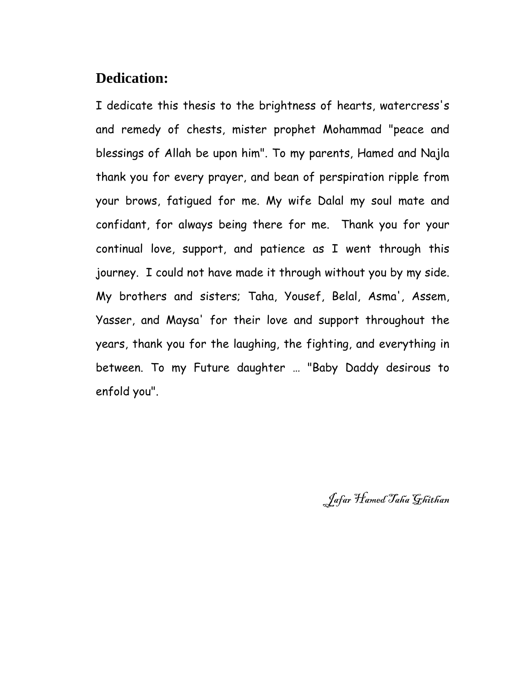# **Dedication:**

I dedicate this thesis to the brightness of hearts, watercress's and remedy of chests, mister prophet Mohammad "peace and blessings of Allah be upon him". To my parents, Hamed and Najla thank you for every prayer, and bean of perspiration ripple from your brows, fatigued for me. My wife Dalal my soul mate and confidant, for always being there for me. Thank you for your continual love, support, and patience as I went through this journey. I could not have made it through without you by my side. My brothers and sisters; Taha, Yousef, Belal, Asma', Assem, Yasser, and Maysa' for their love and support throughout the years, thank you for the laughing, the fighting, and everything in between. To my Future daughter … "Baby Daddy desirous to enfold you".

Jafar Hamed Taha Ghithan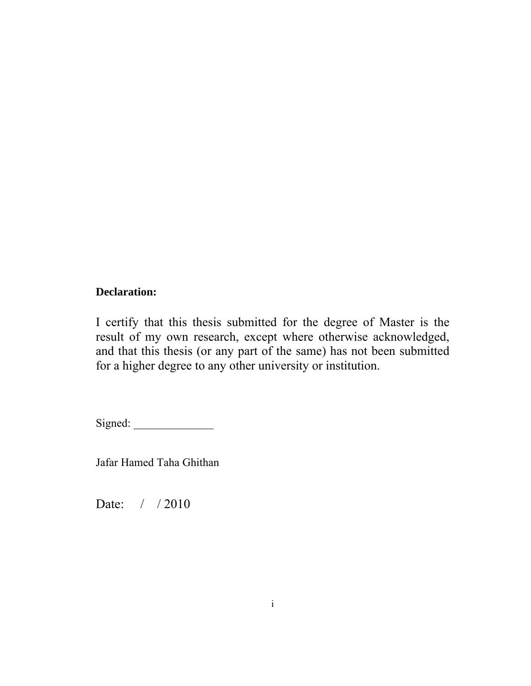### **Declaration:**

I certify that this thesis submitted for the degree of Master is the result of my own research, except where otherwise acknowledged, and that this thesis (or any part of the same) has not been submitted for a higher degree to any other university or institution.

Signed:

Jafar Hamed Taha Ghithan

Date: / / 2010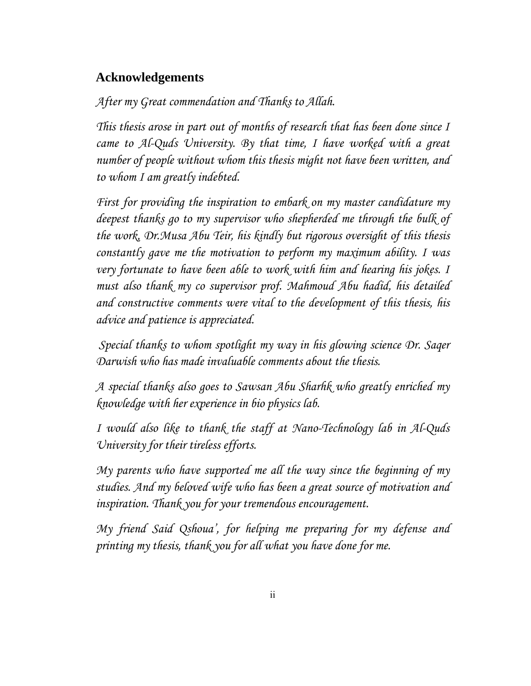## **Acknowledgements**

## *After my Great commendation and Thanks to Allah.*

*This thesis arose in part out of months of research that has been done since I came to Al-Quds University. By that time, I have worked with a great number of people without whom this thesis might not have been written, and to whom I am greatly indebted.* 

*First for providing the inspiration to embark on my master candidature my deepest thanks go to my supervisor who shepherded me through the bulk of the work, Dr.Musa Abu Teir, his kindly but rigorous oversight of this thesis constantly gave me the motivation to perform my maximum ability. I was very fortunate to have been able to work with him and hearing his jokes. I must also thank my co supervisor prof. Mahmoud Abu hadid, his detailed and constructive comments were vital to the development of this thesis, his advice and patience is appreciated.* 

 *Special thanks to whom spotlight my way in his glowing science Dr. Saqer Darwish who has made invaluable comments about the thesis.* 

*A special thanks also goes to Sawsan Abu Sharhk who greatly enriched my knowledge with her experience in bio physics lab.* 

*I would also like to thank the staff at Nano-Technology lab in Al-Quds University for their tireless efforts.* 

*My parents who have supported me all the way since the beginning of my studies. And my beloved wife who has been a great source of motivation and inspiration. Thank you for your tremendous encouragement.* 

*My friend Said Qshoua', for helping me preparing for my defense and printing my thesis, thank you for all what you have done for me.*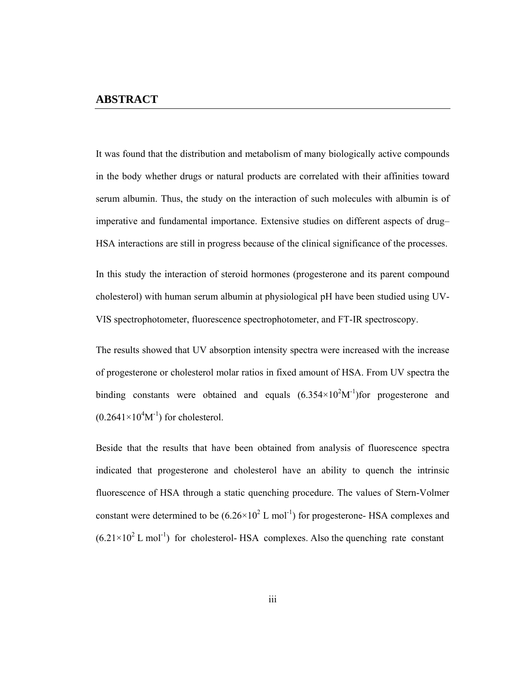It was found that the distribution and metabolism of many biologically active compounds in the body whether drugs or natural products are correlated with their affinities toward serum albumin. Thus, the study on the interaction of such molecules with albumin is of imperative and fundamental importance. Extensive studies on different aspects of drug– HSA interactions are still in progress because of the clinical significance of the processes.

In this study the interaction of steroid hormones (progesterone and its parent compound cholesterol) with human serum albumin at physiological pH have been studied using UV-VIS spectrophotometer, fluorescence spectrophotometer, and FT-IR spectroscopy.

The results showed that UV absorption intensity spectra were increased with the increase of progesterone or cholesterol molar ratios in fixed amount of HSA. From UV spectra the binding constants were obtained and equals  $(6.354 \times 10^2 M^{-1})$  for progesterone and  $(0.2641\times10^4M^{-1})$  for cholesterol.

Beside that the results that have been obtained from analysis of fluorescence spectra indicated that progesterone and cholesterol have an ability to quench the intrinsic fluorescence of HSA through a static quenching procedure. The values of Stern-Volmer constant were determined to be  $(6.26 \times 10^2 \text{ L mol}^{-1})$  for progesterone- HSA complexes and  $(6.21 \times 10^2$  L mol<sup>-1</sup>) for cholesterol- HSA complexes. Also the quenching rate constant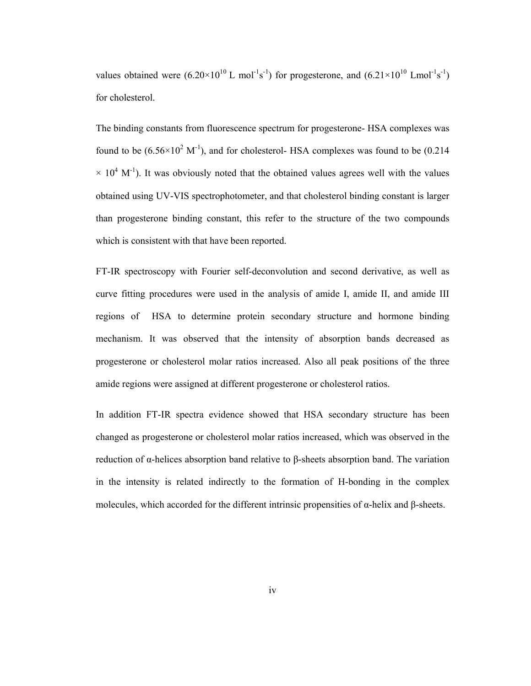values obtained were  $(6.20 \times 10^{10} \text{ L mol}^{-1} \text{s}^{-1})$  for progesterone, and  $(6.21 \times 10^{10} \text{ L mol}^{-1} \text{s}^{-1})$ for cholesterol.

The binding constants from fluorescence spectrum for progesterone- HSA complexes was found to be  $(6.56 \times 10^2 \text{ M}^{\text{-1}})$ , and for cholesterol- HSA complexes was found to be  $(0.214)$  $\times$  10<sup>4</sup> M<sup>-1</sup>). It was obviously noted that the obtained values agrees well with the values obtained using UV-VIS spectrophotometer, and that cholesterol binding constant is larger than progesterone binding constant, this refer to the structure of the two compounds which is consistent with that have been reported.

FT-IR spectroscopy with Fourier self-deconvolution and second derivative, as well as curve fitting procedures were used in the analysis of amide I, amide II, and amide III regions of HSA to determine protein secondary structure and hormone binding mechanism. It was observed that the intensity of absorption bands decreased as progesterone or cholesterol molar ratios increased. Also all peak positions of the three amide regions were assigned at different progesterone or cholesterol ratios.

In addition FT-IR spectra evidence showed that HSA secondary structure has been changed as progesterone or cholesterol molar ratios increased, which was observed in the reduction of α-helices absorption band relative to β-sheets absorption band. The variation in the intensity is related indirectly to the formation of H-bonding in the complex molecules, which accorded for the different intrinsic propensities of α-helix and β-sheets.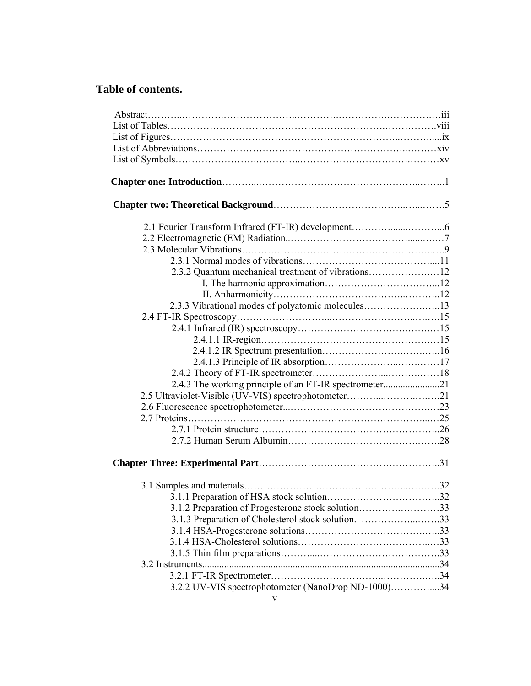# **Table of contents.**

| 2.3.3 Vibrational modes of polyatomic molecules13      |  |
|--------------------------------------------------------|--|
|                                                        |  |
|                                                        |  |
|                                                        |  |
|                                                        |  |
|                                                        |  |
|                                                        |  |
| 2.4.3 The working principle of an FT-IR spectrometer21 |  |
| 2.5 Ultraviolet-Visible (UV-VIS) spectrophotometer21   |  |
|                                                        |  |
|                                                        |  |
|                                                        |  |
|                                                        |  |
|                                                        |  |
|                                                        |  |
|                                                        |  |
|                                                        |  |
| 3.1.2 Preparation of Progesterone stock solution33     |  |
| 3.1.3 Preparation of Cholesterol stock solution. 33    |  |
|                                                        |  |
|                                                        |  |
|                                                        |  |
|                                                        |  |
|                                                        |  |
|                                                        |  |
| 3.2.2 UV-VIS spectrophotometer (NanoDrop ND-1000)34    |  |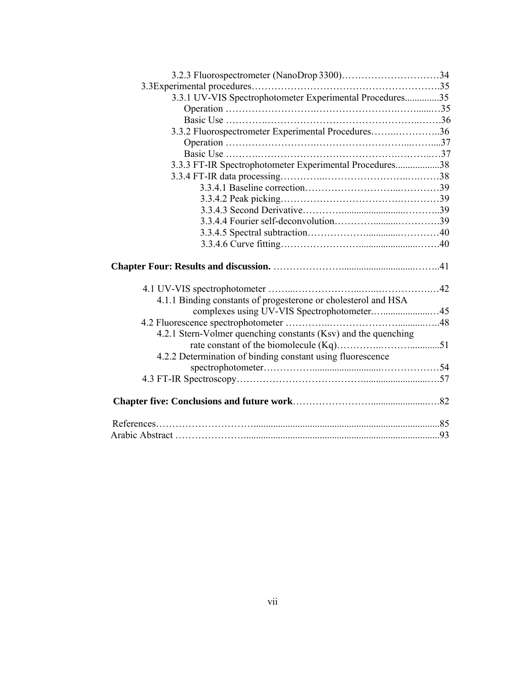| 3.3.1 UV-VIS Spectrophotometer Experimental Procedures35       |  |
|----------------------------------------------------------------|--|
|                                                                |  |
|                                                                |  |
|                                                                |  |
|                                                                |  |
| 3.3.2 Fluorospectrometer Experimental Procedures36             |  |
|                                                                |  |
|                                                                |  |
| 3.3.3 FT-IR Spectrophotometer Experimental Procedures38        |  |
|                                                                |  |
|                                                                |  |
|                                                                |  |
|                                                                |  |
|                                                                |  |
|                                                                |  |
|                                                                |  |
|                                                                |  |
|                                                                |  |
| 4.1.1 Binding constants of progesterone or cholesterol and HSA |  |
|                                                                |  |
|                                                                |  |
| 4.2.1 Stern-Volmer quenching constants (Ksv) and the quenching |  |
|                                                                |  |
| 4.2.2 Determination of binding constant using fluorescence     |  |
|                                                                |  |
|                                                                |  |
|                                                                |  |
|                                                                |  |
|                                                                |  |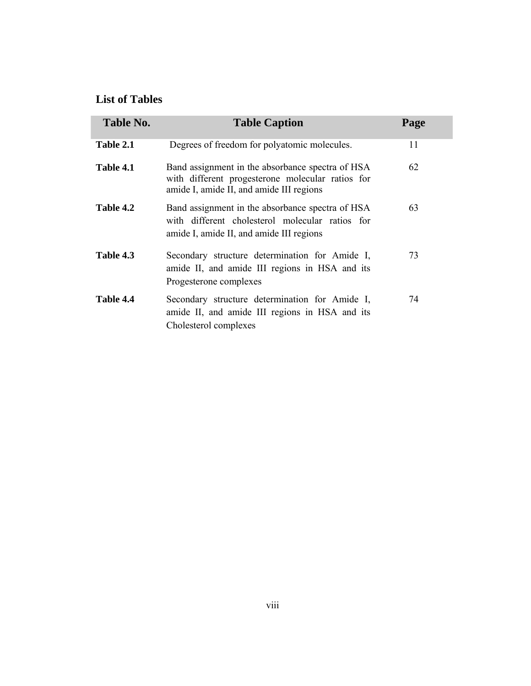## **List of Tables**

| <b>Table No.</b> | <b>Table Caption</b>                                                                                                                             | Page |
|------------------|--------------------------------------------------------------------------------------------------------------------------------------------------|------|
| Table 2.1        | Degrees of freedom for polyatomic molecules.                                                                                                     | 11   |
| Table 4.1        | Band assignment in the absorbance spectra of HSA<br>with different progesterone molecular ratios for<br>amide I, amide II, and amide III regions | 62   |
| Table 4.2        | Band assignment in the absorbance spectra of HSA<br>with different cholesterol molecular ratios for<br>amide I, amide II, and amide III regions  | 63   |
| Table 4.3        | Secondary structure determination for Amide I,<br>amide II, and amide III regions in HSA and its<br>Progesterone complexes                       | 73   |
| Table 4.4        | Secondary structure determination for Amide I,<br>amide II, and amide III regions in HSA and its<br>Cholesterol complexes                        | 74   |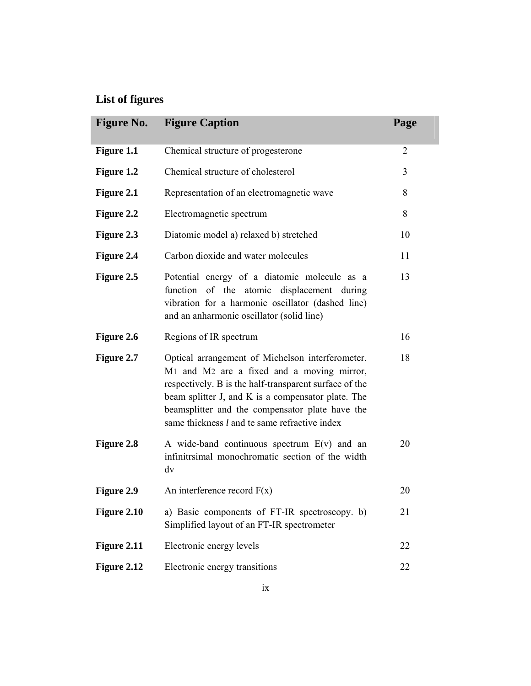# **List of figures**

| <b>Figure No.</b> | <b>Figure Caption</b>                                                                                                                                                                                                                                                                                                                             | Page           |
|-------------------|---------------------------------------------------------------------------------------------------------------------------------------------------------------------------------------------------------------------------------------------------------------------------------------------------------------------------------------------------|----------------|
| Figure 1.1        | Chemical structure of progesterone                                                                                                                                                                                                                                                                                                                | $\overline{2}$ |
| Figure 1.2        | Chemical structure of cholesterol                                                                                                                                                                                                                                                                                                                 | 3              |
| Figure 2.1        | Representation of an electromagnetic wave                                                                                                                                                                                                                                                                                                         | 8              |
| Figure 2.2        | Electromagnetic spectrum                                                                                                                                                                                                                                                                                                                          | 8              |
| Figure 2.3        | Diatomic model a) relaxed b) stretched                                                                                                                                                                                                                                                                                                            | 10             |
| Figure 2.4        | Carbon dioxide and water molecules                                                                                                                                                                                                                                                                                                                | 11             |
| Figure 2.5        | Potential energy of a diatomic molecule as a<br>function<br>of the atomic displacement during<br>vibration for a harmonic oscillator (dashed line)<br>and an anharmonic oscillator (solid line)                                                                                                                                                   | 13             |
| Figure 2.6        | Regions of IR spectrum                                                                                                                                                                                                                                                                                                                            | 16             |
| Figure 2.7        | Optical arrangement of Michelson interferometer.<br>M <sub>1</sub> and M <sub>2</sub> are a fixed and a moving mirror,<br>respectively. B is the half-transparent surface of the<br>beam splitter J, and K is a compensator plate. The<br>beamsplitter and the compensator plate have the<br>same thickness <i>l</i> and te same refractive index | 18             |
| Figure 2.8        | A wide-band continuous spectrum $E(v)$ and an<br>infinitrsimal monochromatic section of the width<br>dv                                                                                                                                                                                                                                           | 20             |
| Figure 2.9        | An interference record $F(x)$                                                                                                                                                                                                                                                                                                                     | 20             |
| Figure 2.10       | a) Basic components of FT-IR spectroscopy. b)<br>Simplified layout of an FT-IR spectrometer                                                                                                                                                                                                                                                       | 21             |
| Figure 2.11       | Electronic energy levels                                                                                                                                                                                                                                                                                                                          | 22             |
| Figure 2.12       | Electronic energy transitions                                                                                                                                                                                                                                                                                                                     | 22             |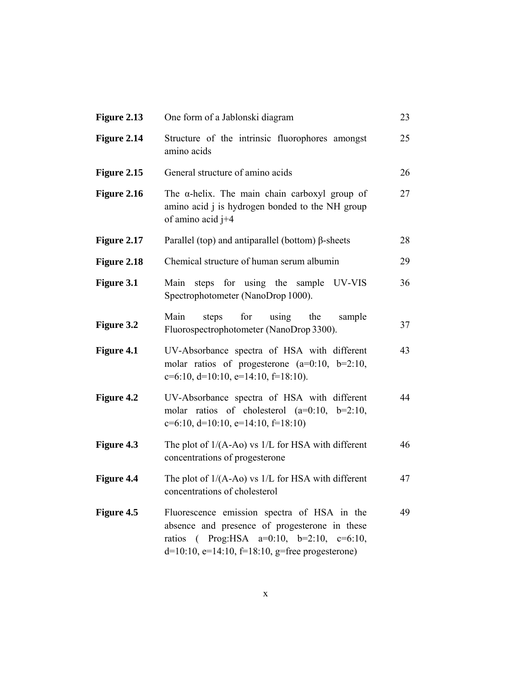| Figure 2.13 | One form of a Jablonski diagram                                                                                                                                                                                       | 23 |
|-------------|-----------------------------------------------------------------------------------------------------------------------------------------------------------------------------------------------------------------------|----|
| Figure 2.14 | Structure of the intrinsic fluorophores amongst<br>amino acids                                                                                                                                                        | 25 |
| Figure 2.15 | General structure of amino acids                                                                                                                                                                                      | 26 |
| Figure 2.16 | The $\alpha$ -helix. The main chain carboxyl group of<br>amino acid j is hydrogen bonded to the NH group<br>of amino acid j+4                                                                                         | 27 |
| Figure 2.17 | Parallel (top) and antiparallel (bottom) $\beta$ -sheets                                                                                                                                                              | 28 |
| Figure 2.18 | Chemical structure of human serum albumin                                                                                                                                                                             | 29 |
| Figure 3.1  | steps for using the<br>UV-VIS<br>Main<br>sample<br>Spectrophotometer (NanoDrop 1000).                                                                                                                                 | 36 |
| Figure 3.2  | Main<br>for<br>using<br>steps<br>the<br>sample<br>Fluorospectrophotometer (NanoDrop 3300).                                                                                                                            | 37 |
| Figure 4.1  | UV-Absorbance spectra of HSA with different<br>molar ratios of progesterone ( $a=0:10$ , $b=2:10$ ,<br>$c=6:10$ , $d=10:10$ , $e=14:10$ , $f=18:10$ ).                                                                | 43 |
| Figure 4.2  | UV-Absorbance spectra of HSA with different<br>molar ratios of cholesterol ( $a=0:10$ , $b=2:10$ ,<br>$c=6:10$ , $d=10:10$ , $e=14:10$ , $f=18:10$ )                                                                  | 44 |
| Figure 4.3  | The plot of $1/(A-A0)$ vs $1/L$ for HSA with different<br>concentrations of progesterone                                                                                                                              | 46 |
| Figure 4.4  | The plot of $1/(A-Ao)$ vs $1/L$ for HSA with different<br>concentrations of cholesterol                                                                                                                               | 47 |
| Figure 4.5  | Fluorescence emission spectra of HSA in the<br>absence and presence of progesterone in these<br>( $\text{Prog: HSA}$ a=0:10, b=2:10, c=6:10,<br>ratios<br>$d=10:10$ , $e=14:10$ , $f=18:10$ , $g=$ free progesterone) | 49 |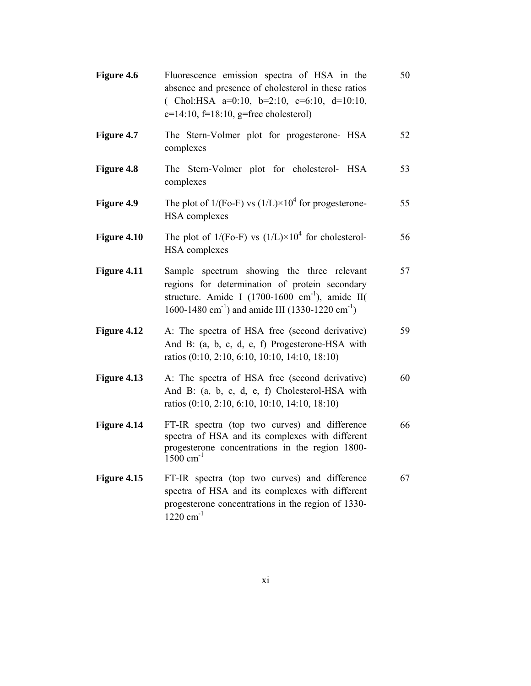| Figure 4.6        | Fluorescence emission spectra of HSA in the<br>absence and presence of cholesterol in these ratios<br>(Chol:HSA $a=0:10$ , $b=2:10$ , $c=6:10$ , $d=10:10$ ,<br>$e=14:10$ , $f=18:10$ , $g=free$ cholesterol)                           | 50 |
|-------------------|-----------------------------------------------------------------------------------------------------------------------------------------------------------------------------------------------------------------------------------------|----|
| <b>Figure 4.7</b> | The Stern-Volmer plot for progesterone- HSA<br>complexes                                                                                                                                                                                | 52 |
| Figure 4.8        | The Stern-Volmer plot for cholesterol- HSA<br>complexes                                                                                                                                                                                 | 53 |
| Figure 4.9        | The plot of $1/(Fo-F)$ vs $(1/L) \times 10^4$ for progesterone-<br><b>HSA</b> complexes                                                                                                                                                 | 55 |
| Figure 4.10       | The plot of $1/(Fo-F)$ vs $(1/L) \times 10^4$ for cholesterol-<br><b>HSA</b> complexes                                                                                                                                                  | 56 |
| Figure 4.11       | Sample spectrum showing the three relevant<br>regions for determination of protein secondary<br>structure. Amide I (1700-1600 cm <sup>-1</sup> ), amide II(<br>1600-1480 cm <sup>-1</sup> ) and amide III (1330-1220 cm <sup>-1</sup> ) | 57 |
| Figure 4.12       | A: The spectra of HSA free (second derivative)<br>And B: (a, b, c, d, e, f) Progesterone-HSA with<br>ratios (0:10, 2:10, 6:10, 10:10, 14:10, 18:10)                                                                                     | 59 |
| Figure 4.13       | A: The spectra of HSA free (second derivative)<br>And B: (a, b, c, d, e, f) Cholesterol-HSA with<br>ratios (0:10, 2:10, 6:10, 10:10, 14:10, 18:10)                                                                                      | 60 |
| Figure 4.14       | FT-IR spectra (top two curves) and difference<br>spectra of HSA and its complexes with different<br>progesterone concentrations in the region 1800-<br>$1500 \text{ cm}^{-1}$                                                           | 66 |
| Figure 4.15       | FT-IR spectra (top two curves) and difference<br>spectra of HSA and its complexes with different<br>progesterone concentrations in the region of 1330-<br>$1220 \text{ cm}^{-1}$                                                        | 67 |